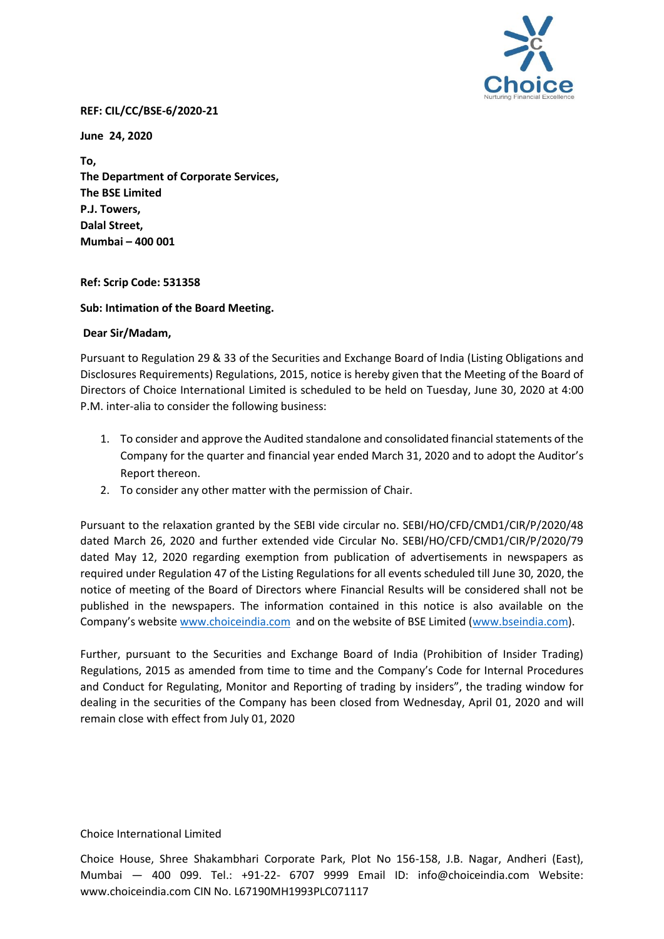

## **REF: CIL/CC/BSE-6/2020-21**

**June 24, 2020**

**To, The Department of Corporate Services, The BSE Limited P.J. Towers, Dalal Street, Mumbai – 400 001**

#### **Ref: Scrip Code: 531358**

#### **Sub: Intimation of the Board Meeting.**

#### **Dear Sir/Madam,**

Pursuant to Regulation 29 & 33 of the Securities and Exchange Board of India (Listing Obligations and Disclosures Requirements) Regulations, 2015, notice is hereby given that the Meeting of the Board of Directors of Choice International Limited is scheduled to be held on Tuesday, June 30, 2020 at 4:00 P.M. inter-alia to consider the following business:

- 1. To consider and approve the Audited standalone and consolidated financial statements of the Company for the quarter and financial year ended March 31, 2020 and to adopt the Auditor's Report thereon.
- 2. To consider any other matter with the permission of Chair.

Pursuant to the relaxation granted by the SEBI vide circular no. SEBI/HO/CFD/CMD1/CIR/P/2020/48 dated March 26, 2020 and further extended vide Circular No. SEBI/HO/CFD/CMD1/CIR/P/2020/79 dated May 12, 2020 regarding exemption from publication of advertisements in newspapers as required under Regulation 47 of the Listing Regulations for all events scheduled till June 30, 2020, the notice of meeting of the Board of Directors where Financial Results will be considered shall not be published in the newspapers. The information contained in this notice is also available on the Company's website [www.choiceindia.com](http://www.choiceindia.com/) and on the website of BSE Limited [\(www.bseindia.com\)](http://www.bseindia.com/).

Further, pursuant to the Securities and Exchange Board of India (Prohibition of Insider Trading) Regulations, 2015 as amended from time to time and the Company's Code for Internal Procedures and Conduct for Regulating, Monitor and Reporting of trading by insiders", the trading window for dealing in the securities of the Company has been closed from Wednesday, April 01, 2020 and will remain close with effect from July 01, 2020

## Choice International Limited

Choice House, Shree Shakambhari Corporate Park, Plot No 156-158, J.B. Nagar, Andheri (East), Mumbai — 400 099. Tel.: +91-22- 6707 9999 Email ID: info@choiceindia.com Website: www.choiceindia.com CIN No. L67190MH1993PLC071117